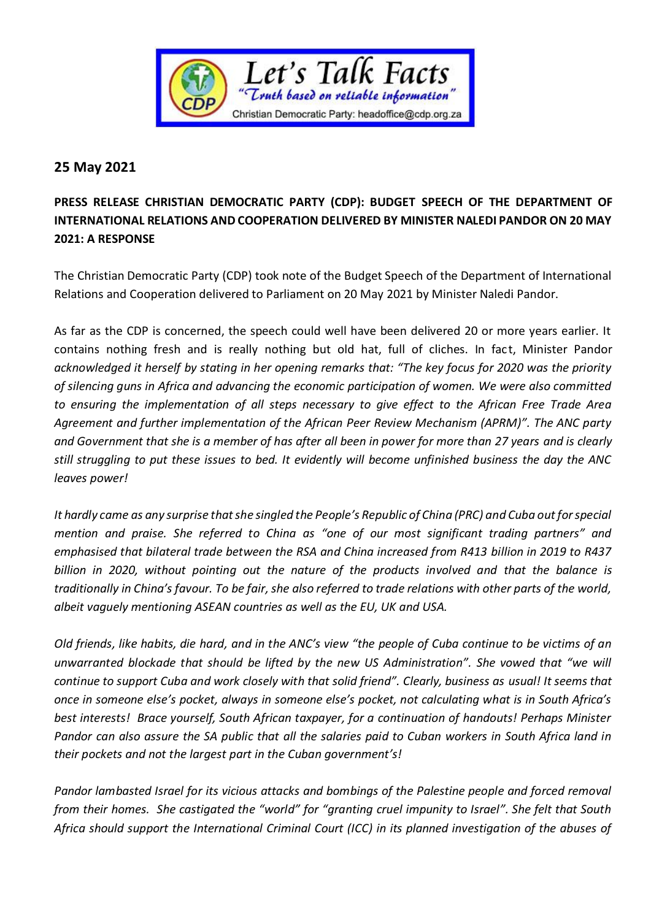

## **25 May 2021**

## **PRESS RELEASE CHRISTIAN DEMOCRATIC PARTY (CDP): BUDGET SPEECH OF THE DEPARTMENT OF INTERNATIONAL RELATIONS AND COOPERATION DELIVERED BY MINISTER NALEDI PANDOR ON 20 MAY 2021: A RESPONSE**

The Christian Democratic Party (CDP) took note of the Budget Speech of the Department of International Relations and Cooperation delivered to Parliament on 20 May 2021 by Minister Naledi Pandor.

As far as the CDP is concerned, the speech could well have been delivered 20 or more years earlier. It contains nothing fresh and is really nothing but old hat, full of cliches. In fact, Minister Pandor *acknowledged it herself by stating in her opening remarks that: "The key focus for 2020 was the priority of silencing guns in Africa and advancing the economic participation of women. We were also committed to ensuring the implementation of all steps necessary to give effect to the African Free Trade Area Agreement and further implementation of the African Peer Review Mechanism (APRM)". The ANC party and Government that she is a member of has after all been in power for more than 27 years and is clearly still struggling to put these issues to bed. It evidently will become unfinished business the day the ANC leaves power!*

*It hardly came as any surprise that she singled the People's Republic of China (PRC) and Cuba out for special mention and praise. She referred to China as "one of our most significant trading partners" and emphasised that bilateral trade between the RSA and China increased from R413 billion in 2019 to R437 billion in 2020, without pointing out the nature of the products involved and that the balance is traditionally in China's favour. To be fair, she also referred to trade relations with other parts of the world, albeit vaguely mentioning ASEAN countries as well as the EU, UK and USA.*

*Old friends, like habits, die hard, and in the ANC's view "the people of Cuba continue to be victims of an unwarranted blockade that should be lifted by the new US Administration". She vowed that "we will continue to support Cuba and work closely with that solid friend". Clearly, business as usual! It seems that once in someone else's pocket, always in someone else's pocket, not calculating what is in South Africa's best interests! Brace yourself, South African taxpayer, for a continuation of handouts! Perhaps Minister Pandor can also assure the SA public that all the salaries paid to Cuban workers in South Africa land in their pockets and not the largest part in the Cuban government's!*

*Pandor lambasted Israel for its vicious attacks and bombings of the Palestine people and forced removal from their homes. She castigated the "world" for "granting cruel impunity to Israel". She felt that South Africa should support the International Criminal Court (ICC) in its planned investigation of the abuses of*